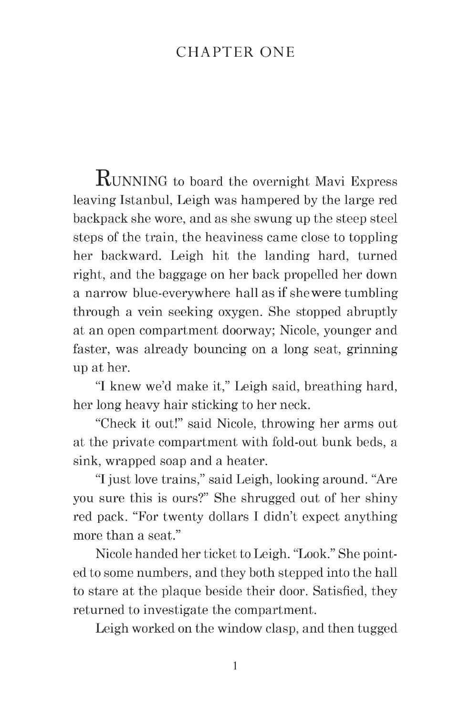## **CHAPTER ONE**

**RUNNING** to board the overnight Mavi Express leaving Istanbul, Leigh was hampered by the large red backpack she wore, and as she swung up the steep steel steps of the train, the heaviness came close to toppling her backward. Leigh hit the landing hard, turned right, and the baggage on her back propelled her down a narrow blue-everywhere hall as if she were tumbling through a vein seeking oxygen. She stopped abruptly at an open compartment doorway; Nicole, younger and faster, was already bouncing on a long seat, grinning up at her.

"I knew we'd make it," Leigh said, breathing hard, her long heavy hair sticking to her neck.

"Check it out!" said Nicole, throwing her arms out at the private compartment with fold-out bunk beds, a sink, wrapped soap and a heater.

"I just love trains," said Leigh, looking around. "Are you sure this is ours?" She shrugged out of her shiny red pack. "For twenty dollars I didn't expect anything more than a seat."

Nicole handed her ticket to Leigh. "Look." She pointed to some numbers, and they both stepped into the hall to stare at the plaque beside their door. Satisfied, they returned to investigate the compartment.

Leigh worked on the window clasp, and then tugged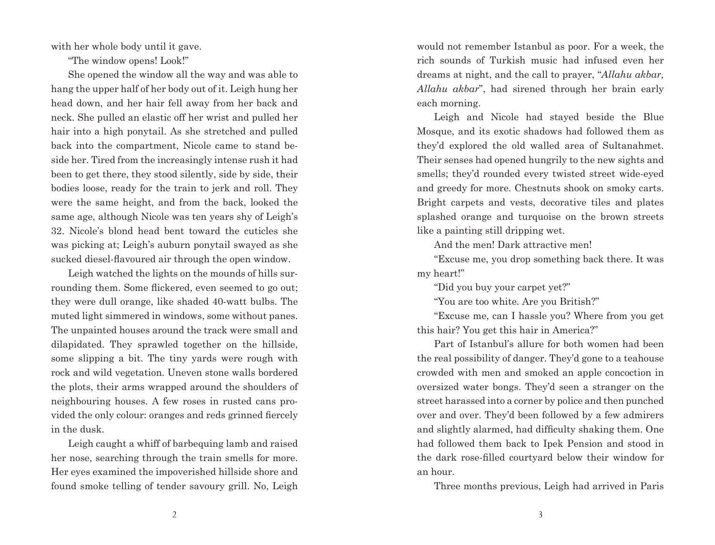with her whole body until it gave.

"The window opens! Look!"

She opened the window all the way and was able to hang the upper half of her body out of it. Leigh hung her head down, and her hair fell away from her back and neck. She pulled an elastic off her wrist and pulled her hair into a high ponytail. As she stretched and pulled back into the compartment, Nicole came to stand beside her. Tired from the increasingly intense rush it had been to get there, they stood silently, side by side, their bodies loose, ready for the train to jerk and roll. They were the same height, and from the back, looked the same age, although Nicole was ten years shy of Leigh's 32. Nicole's blond head bent toward the cuticles she was picking at; Leigh's auburn ponytail swayed as she sucked diesel-flavoured air through the open window.

Leigh watched the lights on the mounds of hills surrounding them. Some flickered, even seemed to go out; they were dull orange, like shaded 40-watt bulbs. The muted light simmered in windows, some without panes. The unpainted houses around the track were small and dilapidated. They sprawled together on the hillside, some slipping a bit. The tiny yards were rough with rock and wild vegetation. Uneven stone walls bordered the plots, their arms wrapped around the shoulders of neighbouring houses. A few roses in rusted cans provided the only colour: oranges and reds grinned fiercely in the dusk.

Leigh caught a whiff of barbequing lamb and raised her nose, searching through the train smells for more. Her eyes examined the impoverished hillside shore and found smoke telling of tender savoury grill. No, Leigh

would not remember Istanbul as poor. For a week, the rich sounds of Turkish music had infused even her dreams at night, and the call to prayer, "*Allahu akbar, Allahu akbar*", had sirened through her brain early each morning.

Leigh and Nicole had stayed beside the Blue Mosque, and its exotic shadows had followed them as they'd explored the old walled area of Sultanahmet. Their senses had opened hungrily to the new sights and smells; they'd rounded every twisted street wide-eyed and greedy for more. Chestnuts shook on smoky carts. Bright carpets and vests, decorative tiles and plates splashed orange and turquoise on the brown streets like a painting still dripping wet.

And the men! Dark attractive men!

"Excuse me, you drop something back there. It was my heart!"

"Did you buy your carpet yet?"

"You are too white. Are you British?"

"Excuse me, can I hassle you? Where from you get this hair? You get this hair in America?"

Part of Istanbul's allure for both women had been the real possibility of danger. They'd gone to a teahouse crowded with men and smoked an apple concoction in oversized water bongs. They'd seen a stranger on the street harassed into a corner by police and then punched over and over. They'd been followed by a few admirers and slightly alarmed, had difficulty shaking them. One had followed them back to Ipek Pension and stood in the dark rose-filled courtyard below their window for an hour.

Three months previous, Leigh had arrived in Paris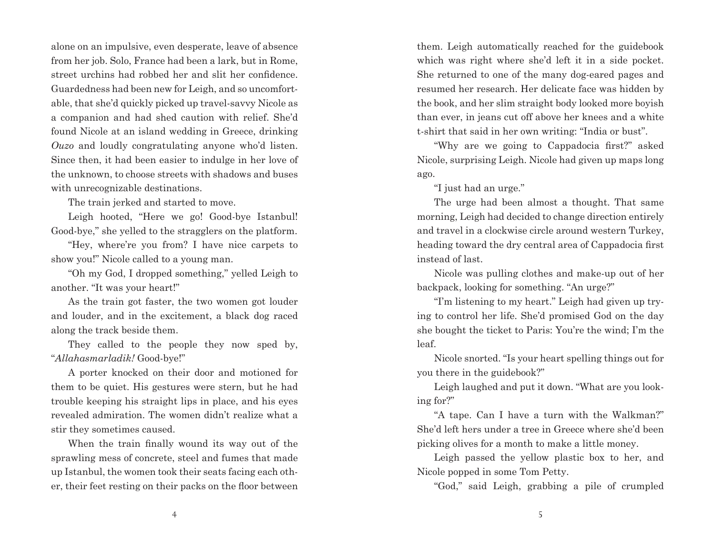alone on an impulsive, even desperate, leave of absence from her job. Solo, France had been a lark, but in Rome, street urchins had robbed her and slit her confidence. Guardedness had been new for Leigh, and so uncomfortable, that she'd quickly picked up travel-savvy Nicole as a companion and had shed caution with relief. She'd found Nicole at an island wedding in Greece, drinking *Ouzo* and loudly congratulating anyone who'd listen. Since then, it had been easier to indulge in her love of the unknown, to choose streets with shadows and buses with unrecognizable destinations.

The train jerked and started to move.

Leigh hooted, "Here we go! Good-bye Istanbul! Good-bye," she yelled to the stragglers on the platform.

"Hey, where're you from? I have nice carpets to show you!" Nicole called to a young man.

"Oh my God, I dropped something," yelled Leigh to another. "It was your heart!"

As the train got faster, the two women got louder and louder, and in the excitement, a black dog raced along the track beside them.

They called to the people they now sped by, "*Allahasmarladik!* Good-bye!"

A porter knocked on their door and motioned for them to be quiet. His gestures were stern, but he had trouble keeping his straight lips in place, and his eyes revealed admiration. The women didn't realize what a stir they sometimes caused.

When the train finally wound its way out of the sprawling mess of concrete, steel and fumes that made up Istanbul, the women took their seats facing each other, their feet resting on their packs on the floor between them. Leigh automatically reached for the guidebook which was right where she'd left it in a side pocket. She returned to one of the many dog-eared pages and resumed her research. Her delicate face was hidden by the book, and her slim straight body looked more boyish than ever, in jeans cut off above her knees and a white t-shirt that said in her own writing: "India or bust".

"Why are we going to Cappadocia first?" asked Nicole, surprising Leigh. Nicole had given up maps long ago.

"I just had an urge."

The urge had been almost a thought. That same morning, Leigh had decided to change direction entirely and travel in a clockwise circle around western Turkey, heading toward the dry central area of Cappadocia first instead of last.

Nicole was pulling clothes and make-up out of her backpack, looking for something. "An urge?"

"I'm listening to my heart." Leigh had given up trying to control her life. She'd promised God on the day she bought the ticket to Paris: You're the wind; I'm the leaf.

Nicole snorted. "Is your heart spelling things out for you there in the guidebook?"

Leigh laughed and put it down. "What are you looking for?"

"A tape. Can I have a turn with the Walkman?" She'd left hers under a tree in Greece where she'd been picking olives for a month to make a little money.

Leigh passed the yellow plastic box to her, and Nicole popped in some Tom Petty.

"God," said Leigh, grabbing a pile of crumpled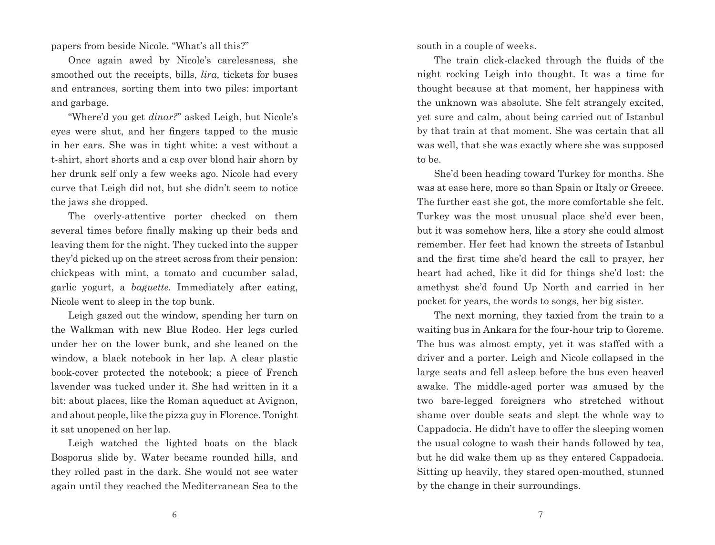papers from beside Nicole. "What's all this?"

Once again awed by Nicole's carelessness, she smoothed out the receipts, bills, *lira,* tickets for buses and entrances, sorting them into two piles: important and garbage.

"Where'd you get *dinar?*" asked Leigh, but Nicole's eyes were shut, and her fingers tapped to the music in her ears. She was in tight white: a vest without a t-shirt, short shorts and a cap over blond hair shorn by her drunk self only a few weeks ago. Nicole had every curve that Leigh did not, but she didn't seem to notice the jaws she dropped.

The overly-attentive porter checked on them several times before finally making up their beds and leaving them for the night. They tucked into the supper they'd picked up on the street across from their pension: chickpeas with mint, a tomato and cucumber salad, garlic yogurt, a *baguette.* Immediately after eating, Nicole went to sleep in the top bunk.

Leigh gazed out the window, spending her turn on the Walkman with new Blue Rodeo. Her legs curled under her on the lower bunk, and she leaned on the window, a black notebook in her lap. A clear plastic book-cover protected the notebook; a piece of French lavender was tucked under it. She had written in it a bit: about places, like the Roman aqueduct at Avignon, and about people, like the pizza guy in Florence. Tonight it sat unopened on her lap.

Leigh watched the lighted boats on the black Bosporus slide by. Water became rounded hills, and they rolled past in the dark. She would not see water again until they reached the Mediterranean Sea to the south in a couple of weeks.

The train click-clacked through the fluids of the night rocking Leigh into thought. It was a time for thought because at that moment, her happiness with the unknown was absolute. She felt strangely excited, yet sure and calm, about being carried out of Istanbul by that train at that moment. She was certain that all was well, that she was exactly where she was supposed to be.

She'd been heading toward Turkey for months. She was at ease here, more so than Spain or Italy or Greece. The further east she got, the more comfortable she felt. Turkey was the most unusual place she'd ever been, but it was somehow hers, like a story she could almost remember. Her feet had known the streets of Istanbul and the first time she'd heard the call to prayer, her heart had ached, like it did for things she'd lost: the amethyst she'd found Up North and carried in her pocket for years, the words to songs, her big sister.

The next morning, they taxied from the train to a waiting bus in Ankara for the four-hour trip to Goreme. The bus was almost empty, yet it was staffed with a driver and a porter. Leigh and Nicole collapsed in the large seats and fell asleep before the bus even heaved awake. The middle-aged porter was amused by the two bare-legged foreigners who stretched without shame over double seats and slept the whole way to Cappadocia. He didn't have to offer the sleeping women the usual cologne to wash their hands followed by tea, but he did wake them up as they entered Cappadocia. Sitting up heavily, they stared open-mouthed, stunned by the change in their surroundings.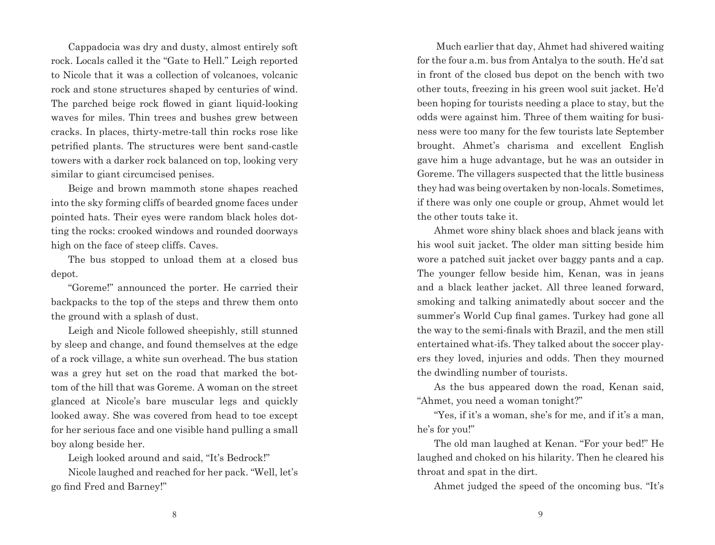Cappadocia was dry and dusty, almost entirely soft rock. Locals called it the "Gate to Hell." Leigh reported to Nicole that it was a collection of volcanoes, volcanic rock and stone structures shaped by centuries of wind. The parched beige rock flowed in giant liquid-looking waves for miles. Thin trees and bushes grew between cracks. In places, thirty-metre-tall thin rocks rose like petrified plants. The structures were bent sand-castle towers with a darker rock balanced on top, looking very similar to giant circumcised penises.

Beige and brown mammoth stone shapes reached into the sky forming cliffs of bearded gnome faces under pointed hats. Their eyes were random black holes dotting the rocks: crooked windows and rounded doorways high on the face of steep cliffs. Caves.

The bus stopped to unload them at a closed bus depot.

"Goreme!" announced the porter. He carried their backpacks to the top of the steps and threw them onto the ground with a splash of dust.

Leigh and Nicole followed sheepishly, still stunned by sleep and change, and found themselves at the edge of a rock village, a white sun overhead. The bus station was a grey hut set on the road that marked the bottom of the hill that was Goreme. A woman on the street glanced at Nicole's bare muscular legs and quickly looked away. She was covered from head to toe except for her serious face and one visible hand pulling a small boy along beside her.

Leigh looked around and said, "It's Bedrock!"

Nicole laughed and reached for her pack. "Well, let's go find Fred and Barney!"

 Much earlier that day, Ahmet had shivered waiting for the four a.m. bus from Antalya to the south. He'd sat in front of the closed bus depot on the bench with two other touts, freezing in his green wool suit jacket. He'd been hoping for tourists needing a place to stay, but the odds were against him. Three of them waiting for business were too many for the few tourists late September brought. Ahmet's charisma and excellent English gave him a huge advantage, but he was an outsider in Goreme. The villagers suspected that the little business they had was being overtaken by non-locals. Sometimes, if there was only one couple or group, Ahmet would let the other touts take it.

Ahmet wore shiny black shoes and black jeans with his wool suit jacket. The older man sitting beside him wore a patched suit jacket over baggy pants and a cap. The younger fellow beside him, Kenan, was in jeans and a black leather jacket. All three leaned forward, smoking and talking animatedly about soccer and the summer's World Cup final games. Turkey had gone all the way to the semi-finals with Brazil, and the men still entertained what-ifs. They talked about the soccer players they loved, injuries and odds. Then they mourned the dwindling number of tourists.

As the bus appeared down the road, Kenan said, "Ahmet, you need a woman tonight?"

"Yes, if it's a woman, she's for me, and if it's a man, he's for you!"

The old man laughed at Kenan. "For your bed!" He laughed and choked on his hilarity. Then he cleared his throat and spat in the dirt.

Ahmet judged the speed of the oncoming bus. "It's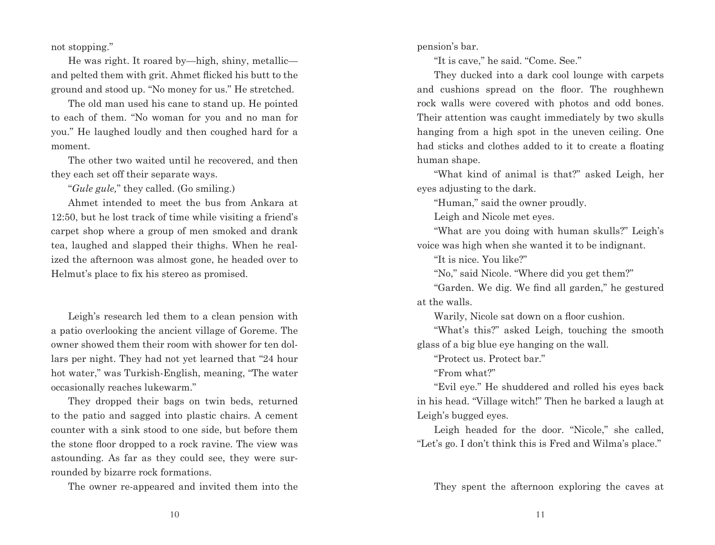not stopping."

He was right. It roared by—high, shiny, metallic and pelted them with grit. Ahmet flicked his butt to the ground and stood up. "No money for us." He stretched.

The old man used his cane to stand up. He pointed to each of them. "No woman for you and no man for you." He laughed loudly and then coughed hard for a moment.

The other two waited until he recovered, and then they each set off their separate ways.

"*Gule gule,*" they called. (Go smiling.)

Ahmet intended to meet the bus from Ankara at 12:50, but he lost track of time while visiting a friend's carpet shop where a group of men smoked and drank tea, laughed and slapped their thighs. When he realized the afternoon was almost gone, he headed over to Helmut's place to fix his stereo as promised.

Leigh's research led them to a clean pension with a patio overlooking the ancient village of Goreme. The owner showed them their room with shower for ten dollars per night. They had not yet learned that "24 hour hot water," was Turkish-English, meaning, "The water occasionally reaches lukewarm."

They dropped their bags on twin beds, returned to the patio and sagged into plastic chairs. A cement counter with a sink stood to one side, but before them the stone floor dropped to a rock ravine. The view was astounding. As far as they could see, they were surrounded by bizarre rock formations.

The owner re-appeared and invited them into the

pension's bar.

"It is cave," he said. "Come. See."

They ducked into a dark cool lounge with carpets and cushions spread on the floor. The roughhewn rock walls were covered with photos and odd bones. Their attention was caught immediately by two skulls hanging from a high spot in the uneven ceiling. One had sticks and clothes added to it to create a floating human shape.

"What kind of animal is that?" asked Leigh, her eyes adjusting to the dark.

"Human," said the owner proudly.

Leigh and Nicole met eyes.

"What are you doing with human skulls?" Leigh's voice was high when she wanted it to be indignant.

"It is nice. You like?"

"No," said Nicole. "Where did you get them?"

"Garden. We dig. We find all garden," he gestured at the walls.

Warily, Nicole sat down on a floor cushion.

"What's this?" asked Leigh, touching the smooth glass of a big blue eye hanging on the wall.

"Protect us. Protect bar."

"From what?"

"Evil eye." He shuddered and rolled his eyes back in his head. "Village witch!" Then he barked a laugh at Leigh's bugged eyes.

Leigh headed for the door. "Nicole," she called, "Let's go. I don't think this is Fred and Wilma's place."

They spent the afternoon exploring the caves at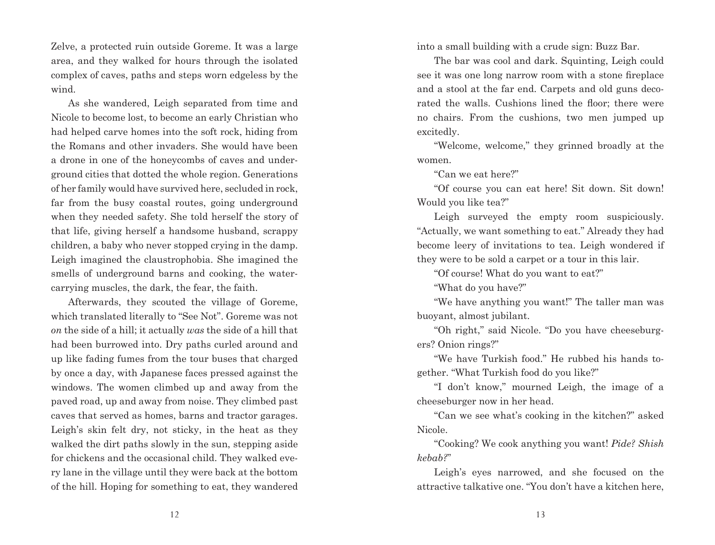Zelve, a protected ruin outside Goreme. It was a large area, and they walked for hours through the isolated complex of caves, paths and steps worn edgeless by the wind.

As she wandered, Leigh separated from time and Nicole to become lost, to become an early Christian who had helped carve homes into the soft rock, hiding from the Romans and other invaders. She would have been a drone in one of the honeycombs of caves and underground cities that dotted the whole region. Generations of her family would have survived here, secluded in rock, far from the busy coastal routes, going underground when they needed safety. She told herself the story of that life, giving herself a handsome husband, scrappy children, a baby who never stopped crying in the damp. Leigh imagined the claustrophobia. She imagined the smells of underground barns and cooking, the watercarrying muscles, the dark, the fear, the faith.

Afterwards, they scouted the village of Goreme, which translated literally to "See Not". Goreme was not *on* the side of a hill; it actually *was* the side of a hill that had been burrowed into. Dry paths curled around and up like fading fumes from the tour buses that charged by once a day, with Japanese faces pressed against the windows. The women climbed up and away from the paved road, up and away from noise. They climbed past caves that served as homes, barns and tractor garages. Leigh's skin felt dry, not sticky, in the heat as they walked the dirt paths slowly in the sun, stepping aside for chickens and the occasional child. They walked every lane in the village until they were back at the bottom of the hill. Hoping for something to eat, they wandered into a small building with a crude sign: Buzz Bar.

The bar was cool and dark. Squinting, Leigh could see it was one long narrow room with a stone fireplace and a stool at the far end. Carpets and old guns decorated the walls. Cushions lined the floor; there were no chairs. From the cushions, two men jumped up excitedly.

"Welcome, welcome," they grinned broadly at the women.

"Can we eat here?"

"Of course you can eat here! Sit down. Sit down! Would you like tea?"

Leigh surveyed the empty room suspiciously. "Actually, we want something to eat." Already they had become leery of invitations to tea. Leigh wondered if they were to be sold a carpet or a tour in this lair.

"Of course! What do you want to eat?"

"What do you have?"

"We have anything you want!" The taller man was buoyant, almost jubilant.

"Oh right," said Nicole. "Do you have cheeseburgers? Onion rings?"

"We have Turkish food." He rubbed his hands together. "What Turkish food do you like?"

"I don't know," mourned Leigh, the image of a cheeseburger now in her head.

"Can we see what's cooking in the kitchen?" asked Nicole.

"Cooking? We cook anything you want! *Pide? Shish kebab?*"

Leigh's eyes narrowed, and she focused on the attractive talkative one. "You don't have a kitchen here,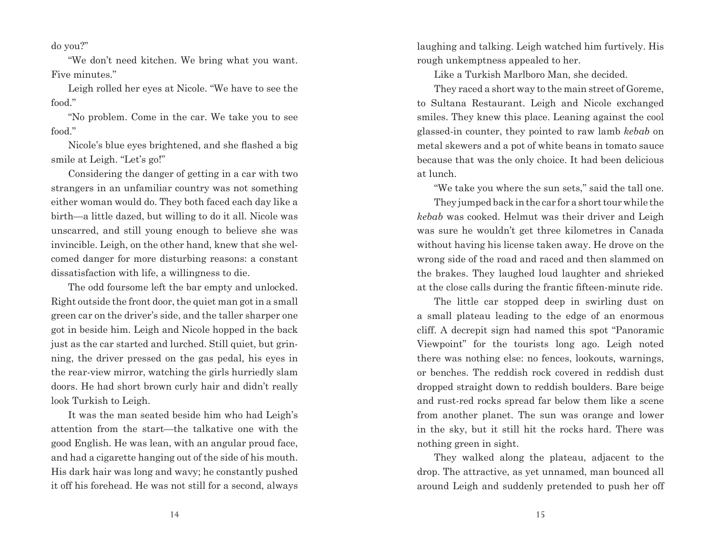do you?"

"We don't need kitchen. We bring what you want. Five minutes."

Leigh rolled her eyes at Nicole. "We have to see the food."

"No problem. Come in the car. We take you to see food."

Nicole's blue eyes brightened, and she flashed a big smile at Leigh. "Let's go!"

Considering the danger of getting in a car with two strangers in an unfamiliar country was not something either woman would do. They both faced each day like a birth—a little dazed, but willing to do it all. Nicole was unscarred, and still young enough to believe she was invincible. Leigh, on the other hand, knew that she welcomed danger for more disturbing reasons: a constant dissatisfaction with life, a willingness to die.

The odd foursome left the bar empty and unlocked. Right outside the front door, the quiet man got in a small green car on the driver's side, and the taller sharper one got in beside him. Leigh and Nicole hopped in the back just as the car started and lurched. Still quiet, but grinning, the driver pressed on the gas pedal, his eyes in the rear-view mirror, watching the girls hurriedly slam doors. He had short brown curly hair and didn't really look Turkish to Leigh.

It was the man seated beside him who had Leigh's attention from the start—the talkative one with the good English. He was lean, with an angular proud face, and had a cigarette hanging out of the side of his mouth. His dark hair was long and wavy; he constantly pushed it off his forehead. He was not still for a second, always laughing and talking. Leigh watched him furtively. His rough unkemptness appealed to her.

Like a Turkish Marlboro Man, she decided.

They raced a short way to the main street of Goreme, to Sultana Restaurant. Leigh and Nicole exchanged smiles. They knew this place. Leaning against the cool glassed-in counter, they pointed to raw lamb *kebab* on metal skewers and a pot of white beans in tomato sauce because that was the only choice. It had been delicious at lunch.

"We take you where the sun sets," said the tall one.

They jumped back in the car for a short tour while the *kebab* was cooked. Helmut was their driver and Leigh was sure he wouldn't get three kilometres in Canada without having his license taken away. He drove on the wrong side of the road and raced and then slammed on the brakes. They laughed loud laughter and shrieked at the close calls during the frantic fifteen-minute ride.

The little car stopped deep in swirling dust on a small plateau leading to the edge of an enormous cliff. A decrepit sign had named this spot "Panoramic Viewpoint" for the tourists long ago. Leigh noted there was nothing else: no fences, lookouts, warnings, or benches. The reddish rock covered in reddish dust dropped straight down to reddish boulders. Bare beige and rust-red rocks spread far below them like a scene from another planet. The sun was orange and lower in the sky, but it still hit the rocks hard. There was nothing green in sight.

They walked along the plateau, adjacent to the drop. The attractive, as yet unnamed, man bounced all around Leigh and suddenly pretended to push her off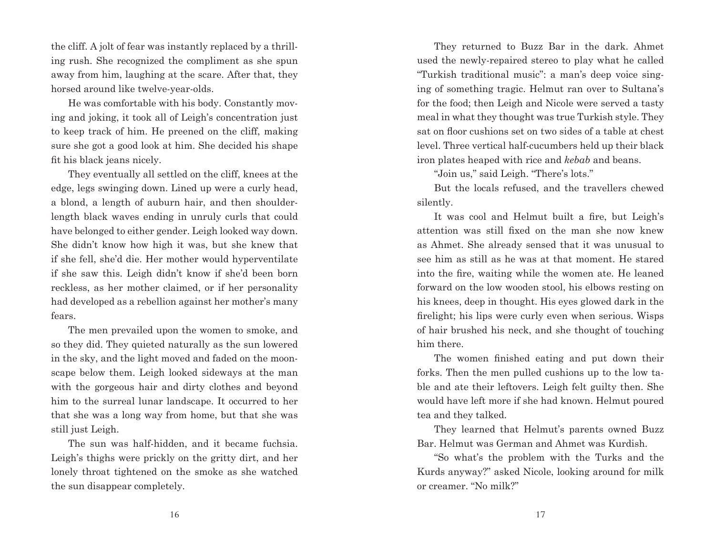the cliff. A jolt of fear was instantly replaced by a thrilling rush. She recognized the compliment as she spun away from him, laughing at the scare. After that, they horsed around like twelve-year-olds.

He was comfortable with his body. Constantly moving and joking, it took all of Leigh's concentration just to keep track of him. He preened on the cliff, making sure she got a good look at him. She decided his shape fit his black jeans nicely.

They eventually all settled on the cliff, knees at the edge, legs swinging down. Lined up were a curly head, a blond, a length of auburn hair, and then shoulderlength black waves ending in unruly curls that could have belonged to either gender. Leigh looked way down. She didn't know how high it was, but she knew that if she fell, she'd die. Her mother would hyperventilate if she saw this. Leigh didn't know if she'd been born reckless, as her mother claimed, or if her personality had developed as a rebellion against her mother's many fears.

The men prevailed upon the women to smoke, and so they did. They quieted naturally as the sun lowered in the sky, and the light moved and faded on the moonscape below them. Leigh looked sideways at the man with the gorgeous hair and dirty clothes and beyond him to the surreal lunar landscape. It occurred to her that she was a long way from home, but that she was still just Leigh.

The sun was half-hidden, and it became fuchsia. Leigh's thighs were prickly on the gritty dirt, and her lonely throat tightened on the smoke as she watched the sun disappear completely.

They returned to Buzz Bar in the dark. Ahmet used the newly-repaired stereo to play what he called "Turkish traditional music": a man's deep voice singing of something tragic. Helmut ran over to Sultana's for the food; then Leigh and Nicole were served a tasty meal in what they thought was true Turkish style. They sat on floor cushions set on two sides of a table at chest level. Three vertical half-cucumbers held up their black iron plates heaped with rice and *kebab* and beans.

"Join us," said Leigh. "There's lots."

But the locals refused, and the travellers chewed silently.

It was cool and Helmut built a fire, but Leigh's attention was still fixed on the man she now knew as Ahmet. She already sensed that it was unusual to see him as still as he was at that moment. He stared into the fire, waiting while the women ate. He leaned forward on the low wooden stool, his elbows resting on his knees, deep in thought. His eyes glowed dark in the firelight; his lips were curly even when serious. Wisps of hair brushed his neck, and she thought of touching him there.

The women finished eating and put down their forks. Then the men pulled cushions up to the low table and ate their leftovers. Leigh felt guilty then. She would have left more if she had known. Helmut poured tea and they talked.

They learned that Helmut's parents owned Buzz Bar. Helmut was German and Ahmet was Kurdish.

"So what's the problem with the Turks and the Kurds anyway?" asked Nicole, looking around for milk or creamer. "No milk?"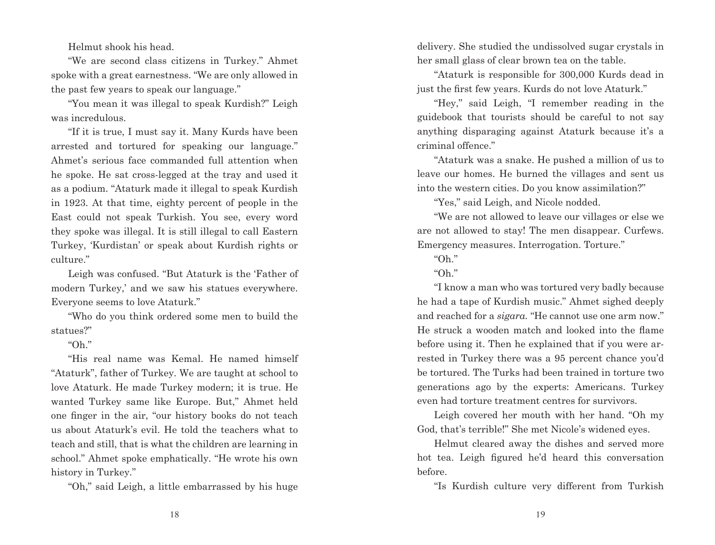Helmut shook his head.

"We are second class citizens in Turkey." Ahmet spoke with a great earnestness. "We are only allowed in the past few years to speak our language."

"You mean it was illegal to speak Kurdish?" Leigh was incredulous.

"If it is true, I must say it. Many Kurds have been arrested and tortured for speaking our language." Ahmet's serious face commanded full attention when he spoke. He sat cross-legged at the tray and used it as a podium. "Ataturk made it illegal to speak Kurdish in 1923. At that time, eighty percent of people in the East could not speak Turkish. You see, every word they spoke was illegal. It is still illegal to call Eastern Turkey, 'Kurdistan' or speak about Kurdish rights or culture."

Leigh was confused. "But Ataturk is the 'Father of modern Turkey,' and we saw his statues everywhere. Everyone seems to love Ataturk."

"Who do you think ordered some men to build the statues?"

## "Oh."

"His real name was Kemal. He named himself "Ataturk", father of Turkey. We are taught at school to love Ataturk. He made Turkey modern; it is true. He wanted Turkey same like Europe. But," Ahmet held one finger in the air, "our history books do not teach us about Ataturk's evil. He told the teachers what to teach and still, that is what the children are learning in school." Ahmet spoke emphatically. "He wrote his own history in Turkey."

"Oh," said Leigh, a little embarrassed by his huge

delivery. She studied the undissolved sugar crystals in her small glass of clear brown tea on the table.

"Ataturk is responsible for 300,000 Kurds dead in just the first few years. Kurds do not love Ataturk."

"Hey," said Leigh, "I remember reading in the guidebook that tourists should be careful to not say anything disparaging against Ataturk because it's a criminal offence."

"Ataturk was a snake. He pushed a million of us to leave our homes. He burned the villages and sent us into the western cities. Do you know assimilation?"

"Yes," said Leigh, and Nicole nodded.

"We are not allowed to leave our villages or else we are not allowed to stay! The men disappear. Curfews. Emergency measures. Interrogation. Torture."

"Oh."

"Oh."

"I know a man who was tortured very badly because he had a tape of Kurdish music." Ahmet sighed deeply and reached for a *sigara.* "He cannot use one arm now." He struck a wooden match and looked into the flame before using it. Then he explained that if you were arrested in Turkey there was a 95 percent chance you'd be tortured. The Turks had been trained in torture two generations ago by the experts: Americans. Turkey even had torture treatment centres for survivors.

Leigh covered her mouth with her hand. "Oh my God, that's terrible!" She met Nicole's widened eyes.

Helmut cleared away the dishes and served more hot tea. Leigh figured he'd heard this conversation before.

"Is Kurdish culture very different from Turkish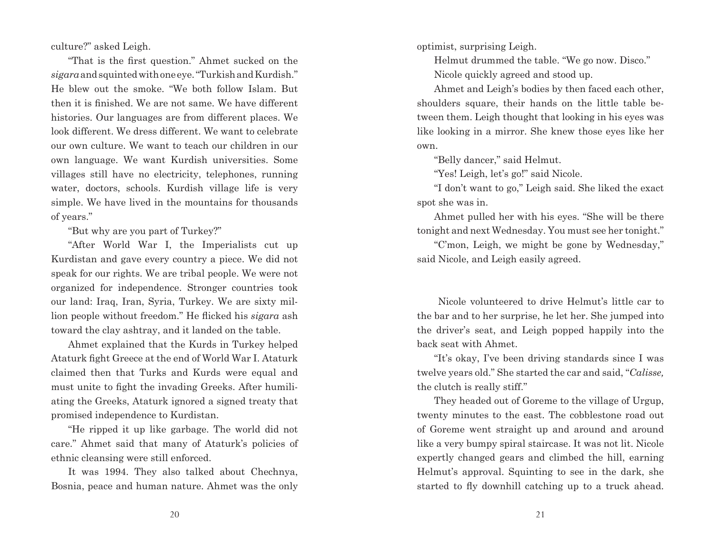culture?" asked Leigh.

"That is the first question." Ahmet sucked on the *sigara* and squinted with one eye. "Turkish and Kurdish." He blew out the smoke. "We both follow Islam. But then it is finished. We are not same. We have different histories. Our languages are from different places. We look different. We dress different. We want to celebrate our own culture. We want to teach our children in our own language. We want Kurdish universities. Some villages still have no electricity, telephones, running water, doctors, schools. Kurdish village life is very simple. We have lived in the mountains for thousands of years."

"But why are you part of Turkey?"

"After World War I, the Imperialists cut up Kurdistan and gave every country a piece. We did not speak for our rights. We are tribal people. We were not organized for independence. Stronger countries took our land: Iraq, Iran, Syria, Turkey. We are sixty million people without freedom." He flicked his *sigara* ash toward the clay ashtray, and it landed on the table.

Ahmet explained that the Kurds in Turkey helped Ataturk fight Greece at the end of World War I. Ataturk claimed then that Turks and Kurds were equal and must unite to fight the invading Greeks. After humiliating the Greeks, Ataturk ignored a signed treaty that promised independence to Kurdistan.

"He ripped it up like garbage. The world did not care." Ahmet said that many of Ataturk's policies of ethnic cleansing were still enforced.

It was 1994. They also talked about Chechnya, Bosnia, peace and human nature. Ahmet was the only optimist, surprising Leigh.

Helmut drummed the table. "We go now. Disco." Nicole quickly agreed and stood up.

Ahmet and Leigh's bodies by then faced each other, shoulders square, their hands on the little table between them. Leigh thought that looking in his eyes was like looking in a mirror. She knew those eyes like her own.

"Belly dancer," said Helmut.

"Yes! Leigh, let's go!" said Nicole.

"I don't want to go," Leigh said. She liked the exact spot she was in.

Ahmet pulled her with his eyes. "She will be there tonight and next Wednesday. You must see her tonight."

"C'mon, Leigh, we might be gone by Wednesday," said Nicole, and Leigh easily agreed.

 Nicole volunteered to drive Helmut's little car to the bar and to her surprise, he let her. She jumped into the driver's seat, and Leigh popped happily into the back seat with Ahmet.

"It's okay, I've been driving standards since I was twelve years old." She started the car and said, "*Calisse,* the clutch is really stiff."

They headed out of Goreme to the village of Urgup, twenty minutes to the east. The cobblestone road out of Goreme went straight up and around and around like a very bumpy spiral staircase. It was not lit. Nicole expertly changed gears and climbed the hill, earning Helmut's approval. Squinting to see in the dark, she started to fly downhill catching up to a truck ahead.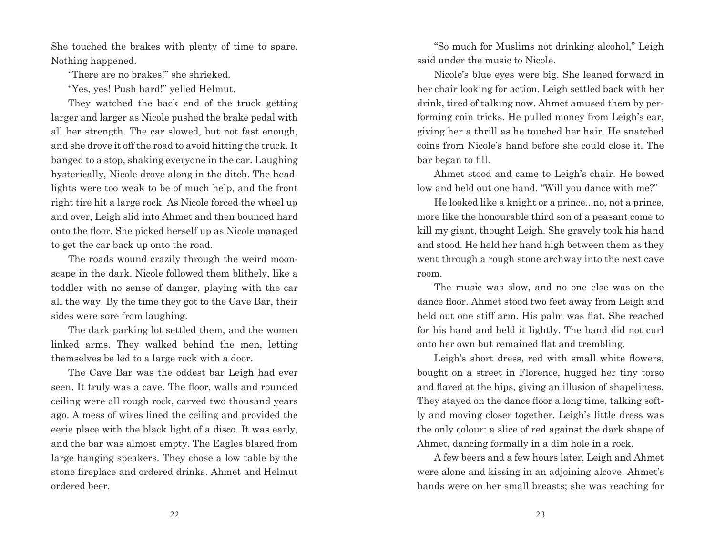She touched the brakes with plenty of time to spare. Nothing happened.

"There are no brakes!" she shrieked.

"Yes, yes! Push hard!" yelled Helmut.

They watched the back end of the truck getting larger and larger as Nicole pushed the brake pedal with all her strength. The car slowed, but not fast enough, and she drove it off the road to avoid hitting the truck. It banged to a stop, shaking everyone in the car. Laughing hysterically, Nicole drove along in the ditch. The headlights were too weak to be of much help, and the front right tire hit a large rock. As Nicole forced the wheel up and over, Leigh slid into Ahmet and then bounced hard onto the floor. She picked herself up as Nicole managed to get the car back up onto the road.

The roads wound crazily through the weird moonscape in the dark. Nicole followed them blithely, like a toddler with no sense of danger, playing with the car all the way. By the time they got to the Cave Bar, their sides were sore from laughing.

The dark parking lot settled them, and the women linked arms. They walked behind the men, letting themselves be led to a large rock with a door.

The Cave Bar was the oddest bar Leigh had ever seen. It truly was a cave. The floor, walls and rounded ceiling were all rough rock, carved two thousand years ago. A mess of wires lined the ceiling and provided the eerie place with the black light of a disco. It was early, and the bar was almost empty. The Eagles blared from large hanging speakers. They chose a low table by the stone fireplace and ordered drinks. Ahmet and Helmut ordered beer.

"So much for Muslims not drinking alcohol," Leigh said under the music to Nicole.

Nicole's blue eyes were big. She leaned forward in her chair looking for action. Leigh settled back with her drink, tired of talking now. Ahmet amused them by performing coin tricks. He pulled money from Leigh's ear, giving her a thrill as he touched her hair. He snatched coins from Nicole's hand before she could close it. The bar began to fill.

Ahmet stood and came to Leigh's chair. He bowed low and held out one hand. "Will you dance with me?"

He looked like a knight or a prince...no, not a prince, more like the honourable third son of a peasant come to kill my giant, thought Leigh. She gravely took his hand and stood. He held her hand high between them as they went through a rough stone archway into the next cave room.

The music was slow, and no one else was on the dance floor. Ahmet stood two feet away from Leigh and held out one stiff arm. His palm was flat. She reached for his hand and held it lightly. The hand did not curl onto her own but remained flat and trembling.

Leigh's short dress, red with small white flowers, bought on a street in Florence, hugged her tiny torso and flared at the hips, giving an illusion of shapeliness. They stayed on the dance floor a long time, talking softly and moving closer together. Leigh's little dress was the only colour: a slice of red against the dark shape of Ahmet, dancing formally in a dim hole in a rock.

A few beers and a few hours later, Leigh and Ahmet were alone and kissing in an adjoining alcove. Ahmet's hands were on her small breasts; she was reaching for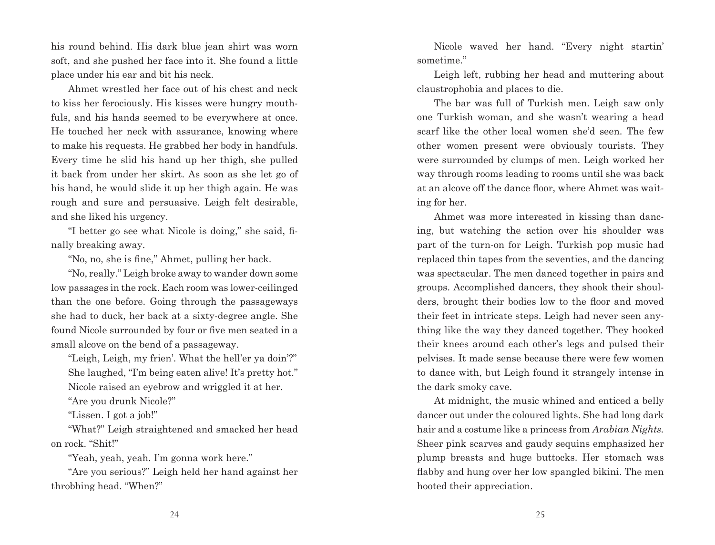his round behind. His dark blue jean shirt was worn soft, and she pushed her face into it. She found a little place under his ear and bit his neck.

Ahmet wrestled her face out of his chest and neck to kiss her ferociously. His kisses were hungry mouthfuls, and his hands seemed to be everywhere at once. He touched her neck with assurance, knowing where to make his requests. He grabbed her body in handfuls. Every time he slid his hand up her thigh, she pulled it back from under her skirt. As soon as she let go of his hand, he would slide it up her thigh again. He was rough and sure and persuasive. Leigh felt desirable, and she liked his urgency.

"I better go see what Nicole is doing," she said, finally breaking away.

"No, no, she is fine," Ahmet, pulling her back.

"No, really." Leigh broke away to wander down some low passages in the rock. Each room was lower-ceilinged than the one before. Going through the passageways she had to duck, her back at a sixty-degree angle. She found Nicole surrounded by four or five men seated in a small alcove on the bend of a passageway.

"Leigh, Leigh, my frien'. What the hell'er ya doin'?" She laughed, "I'm being eaten alive! It's pretty hot." Nicole raised an eyebrow and wriggled it at her.

"Are you drunk Nicole?"

"Lissen. I got a job!"

"What?" Leigh straightened and smacked her head on rock. "Shit!"

"Yeah, yeah, yeah. I'm gonna work here."

"Are you serious?" Leigh held her hand against her throbbing head. "When?"

Nicole waved her hand. "Every night startin' sometime."

Leigh left, rubbing her head and muttering about claustrophobia and places to die.

The bar was full of Turkish men. Leigh saw only one Turkish woman, and she wasn't wearing a head scarf like the other local women she'd seen. The few other women present were obviously tourists. They were surrounded by clumps of men. Leigh worked her way through rooms leading to rooms until she was back at an alcove off the dance floor, where Ahmet was waiting for her.

Ahmet was more interested in kissing than dancing, but watching the action over his shoulder was part of the turn-on for Leigh. Turkish pop music had replaced thin tapes from the seventies, and the dancing was spectacular. The men danced together in pairs and groups. Accomplished dancers, they shook their shoulders, brought their bodies low to the floor and moved their feet in intricate steps. Leigh had never seen anything like the way they danced together. They hooked their knees around each other's legs and pulsed their pelvises. It made sense because there were few women to dance with, but Leigh found it strangely intense in the dark smoky cave.

At midnight, the music whined and enticed a belly dancer out under the coloured lights. She had long dark hair and a costume like a princess from *Arabian Nights.* Sheer pink scarves and gaudy sequins emphasized her plump breasts and huge buttocks. Her stomach was flabby and hung over her low spangled bikini. The men hooted their appreciation.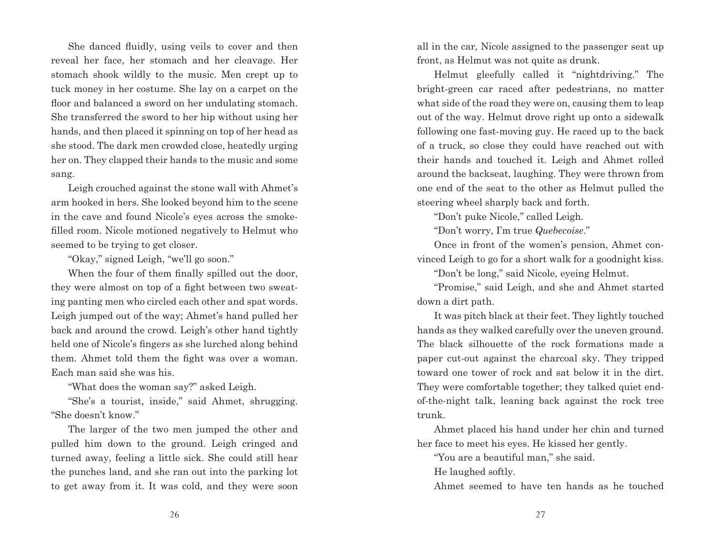She danced fluidly, using veils to cover and then reveal her face, her stomach and her cleavage. Her stomach shook wildly to the music. Men crept up to tuck money in her costume. She lay on a carpet on the floor and balanced a sword on her undulating stomach. She transferred the sword to her hip without using her hands, and then placed it spinning on top of her head as she stood. The dark men crowded close, heatedly urging her on. They clapped their hands to the music and some sang.

Leigh crouched against the stone wall with Ahmet's arm hooked in hers. She looked beyond him to the scene in the cave and found Nicole's eyes across the smokefilled room. Nicole motioned negatively to Helmut who seemed to be trying to get closer.

"Okay," signed Leigh, "we'll go soon."

When the four of them finally spilled out the door, they were almost on top of a fight between two sweating panting men who circled each other and spat words. Leigh jumped out of the way; Ahmet's hand pulled her back and around the crowd. Leigh's other hand tightly held one of Nicole's fingers as she lurched along behind them. Ahmet told them the fight was over a woman. Each man said she was his.

"What does the woman say?" asked Leigh.

"She's a tourist, inside," said Ahmet, shrugging. "She doesn't know."

The larger of the two men jumped the other and pulled him down to the ground. Leigh cringed and turned away, feeling a little sick. She could still hear the punches land, and she ran out into the parking lot to get away from it. It was cold, and they were soon all in the car, Nicole assigned to the passenger seat up front, as Helmut was not quite as drunk.

Helmut gleefully called it "nightdriving." The bright-green car raced after pedestrians, no matter what side of the road they were on, causing them to leap out of the way. Helmut drove right up onto a sidewalk following one fast-moving guy. He raced up to the back of a truck, so close they could have reached out with their hands and touched it. Leigh and Ahmet rolled around the backseat, laughing. They were thrown from one end of the seat to the other as Helmut pulled the steering wheel sharply back and forth.

"Don't puke Nicole," called Leigh.

"Don't worry, I'm true *Quebecoise*."

Once in front of the women's pension, Ahmet convinced Leigh to go for a short walk for a goodnight kiss.

"Don't be long," said Nicole, eyeing Helmut.

"Promise," said Leigh, and she and Ahmet started down a dirt path.

It was pitch black at their feet. They lightly touched hands as they walked carefully over the uneven ground. The black silhouette of the rock formations made a paper cut-out against the charcoal sky. They tripped toward one tower of rock and sat below it in the dirt. They were comfortable together; they talked quiet endof-the-night talk, leaning back against the rock tree trunk.

Ahmet placed his hand under her chin and turned her face to meet his eyes. He kissed her gently.

"You are a beautiful man," she said.

He laughed softly.

Ahmet seemed to have ten hands as he touched